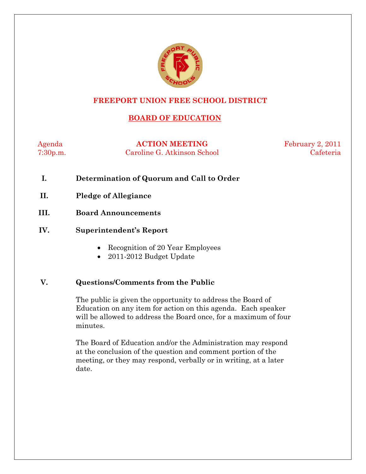

# **FREEPORT UNION FREE SCHOOL DISTRICT**

# **BOARD OF EDUCATION**

Agenda **ACTION MEETING** February 2, 2011 7:30p.m. Caroline G. Atkinson School Cafeteria

- **I. Determination of Quorum and Call to Order**
- **II. Pledge of Allegiance**
- **III. Board Announcements**
- **IV. Superintendent's Report** 
	- Recognition of 20 Year Employees
	- 2011-2012 Budget Update

# **V. Questions/Comments from the Public**

The public is given the opportunity to address the Board of Education on any item for action on this agenda. Each speaker will be allowed to address the Board once, for a maximum of four minutes.

The Board of Education and/or the Administration may respond at the conclusion of the question and comment portion of the meeting, or they may respond, verbally or in writing, at a later date.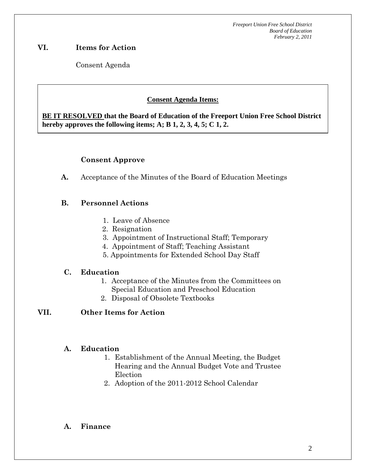*Freeport Union Free School District Board of Education February 2, 2011*

# **VI. Items for Action**

Consent Agenda

 **AA. Consent - Approve** 

# **Consent Agenda Items:**

**BE IT RESOLVED that the Board of Education of the Freeport Union Free School District hereby approves the following items; A; B 1, 2, 3, 4, 5; C 1, 2.** 

#### **Consent Approve**

 *Acceptance of the Minutes*  $\mathbf{A}$ 

**A.** Acceptance of the Minutes of the Board of Education Meetings

### **B. Personnel Actions**

- 1. Leave of Absence
- 2. Resignation
- 3. Appointment of Instructional Staff; Temporary
- 4. Appointment of Staff; Teaching Assistant
- 5. Appointments for Extended School Day Staff

#### **C. Education**

- 1. Acceptance of the Minutes from the Committees on Special Education and Preschool Education
- 2. Disposal of Obsolete Textbooks

### **VII. Other Items for Action**

#### **A. Education**

- 1. Establishment of the Annual Meeting, the Budget Hearing and the Annual Budget Vote and Trustee Election
- 2. Adoption of the 2011-2012 School Calendar

#### **A. Finance**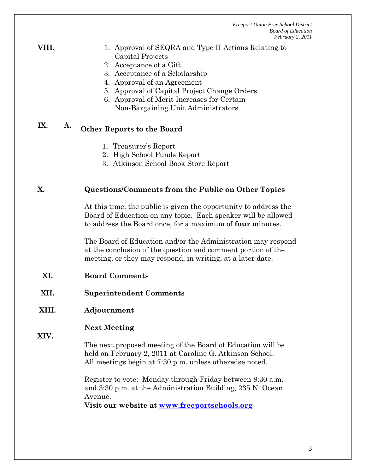*Freeport Union Free School District Board of Education February 2, 2011*

#### **VIII.** 2. Approval of SEQRA and Type II Actions Relating to Capital Projects

- 2. Acceptance of a Gift
- 3. Acceptance of a Scholarship
- 4. Approval of an Agreement
- 5. Approval of Capital Project Change Orders
- 6. Approval of Merit Increases for Certain Non-Bargaining Unit Administrators

# **IX. A. Other Reports to the Board**

- 1. Treasurer's Report
- 2. High School Funds Report
- 3. Atkinson School Book Store Report

#### **X. Questions/Comments from the Public on Other Topics**

At this time, the public is given the opportunity to address the Board of Education on any topic. Each speaker will be allowed to address the Board once, for a maximum of **four** minutes.

The Board of Education and/or the Administration may respond at the conclusion of the question and comment portion of the meeting, or they may respond, in writing, at a later date.

#### **XI. Board Comments**

**XII. Superintendent Comments** 

# **XIII. Adjournment**

### **Next Meeting**

**XIV.** 

The next proposed meeting of the Board of Education will be held on February 2, 2011 at Caroline G. Atkinson School. All meetings begin at 7:30 p.m. unless otherwise noted.

Register to vote: Monday through Friday between 8:30 a.m. and 3:30 p.m. at the Administration Building, 235 N. Ocean Avenue.

**Visit our website at www.freeportschools.org**